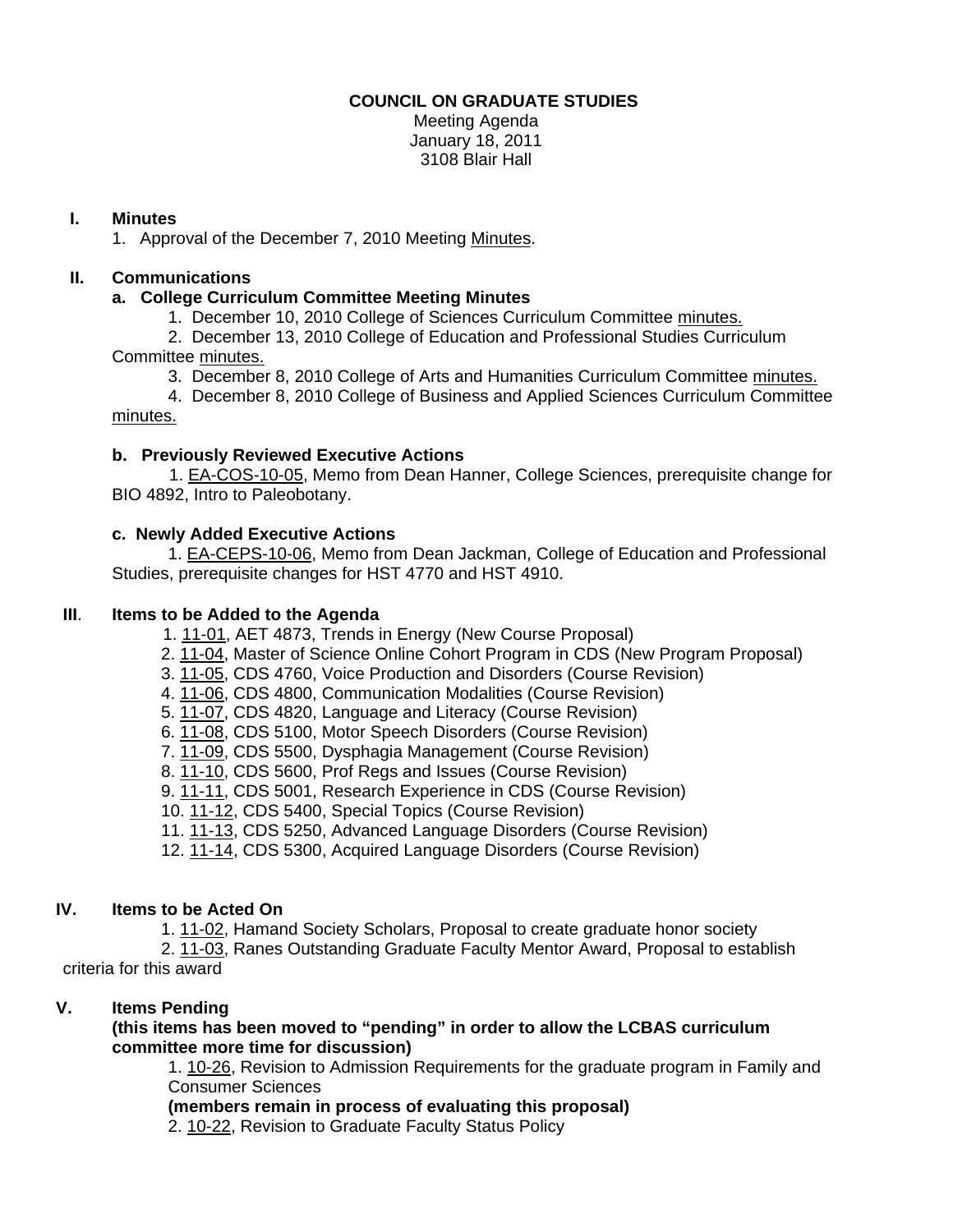# **COUNCIL ON GRADUATE STUDIES**

Meeting Agenda January 18, 2011 3108 Blair Hall

# **I. Minutes**

1. Approval of the December 7, 2010 Meetin[g Minutes.](http://castle.eiu.edu/~eiucgs/currentminutes/Minutes12-7-10.pdf) 

# **II. Communications**

# **a. College Curriculum Committee Meeting Minutes**

1. December 10, 2010 College of Sciences Curriculum Committe[e minutes.](http://www.eiu.edu/~eiucgs/currentagendaitems/COSMin12-10-10.pdf)

 2. December 13, 2010 College of Education and Professional Studies Curriculum Committe[e minutes.](http://www.eiu.edu/~eiucgs/currentagendaitems/CEPSMin12-13-10.pdf)

3. December 8, 2010 College of Arts and Humanities Curriculum Committee [minutes.](http://www.eiu.edu/~eiucgs/currentagendaitems/CAHMin12-8-10.pdf)

 4. December 8, 2010 College of Business and Applied Sciences Curriculum Committee [minutes.](http://www.eiu.edu/~eiucgs/currentagendaitems/LCBASMin12-8-10.pdf)

## **b. Previously Reviewed Executive Actions**

 [1. EA-COS-10-05, M](http://castle.eiu.edu/~eiucgs/exec-actions/EA-COS-10-05.pdf)emo from Dean Hanner, College Sciences, prerequisite change for BIO 4892, Intro to Paleobotany.

## **c. Newly Added Executive Actions**

 [1. EA-CEPS-10-06, M](http://castle.eiu.edu/~eiucgs/exec-actions/EA-CEPS-10-06.pdf)emo from Dean Jackman, College of Education and Professional Studies, prerequisite changes for HST 4770 and HST 4910.

## **III**. **Items to be Added to the Agenda**

- [1. 11-01, A](http://www.eiu.edu/~eiucgs/currentagendaitems/agenda11-01.pdf)ET 4873, Trends in Energy (New Course Proposal)
- [2. 11-04, M](http://www.eiu.edu/~eiucgs/currentagendaitems/agenda11-04.pdf)aster of Science Online Cohort Program in CDS (New Program Proposal)
- 3. [11-05, C](http://www.eiu.edu/~eiucgs/currentagendaitems/agenda11-05.pdf)DS 4760, Voice Production and Disorders (Course Revision)
- 4[. 11-06, C](http://www.eiu.edu/~eiucgs/currentagendaitems/agenda11-06.pdf)DS 4800, Communication Modalities (Course Revision)
- 5. [11-07, C](http://www.eiu.edu/~eiucgs/currentagendaitems/agenda11-07.pdf)DS 4820, Language and Literacy (Course Revision)
- 6. [11-08,](http://www.eiu.edu/~eiucgs/currentagendaitems/agenda11-08.pdf) CDS 5100, Motor Speech Disorders (Course Revision)
- 7. [11-09,](http://www.eiu.edu/~eiucgs/currentagendaitems/agenda11-09.pdf) CDS 5500, Dysphagia Management (Course Revision)
- 8. [11-10, C](http://www.eiu.edu/~eiucgs/currentagendaitems/agenda11-10.pdf)DS 5600, Prof Regs and Issues (Course Revision)
- 9. [11-11, C](http://www.eiu.edu/~eiucgs/currentagendaitems/agenda11-11.pdf)DS 5001, Research Experience in CDS (Course Revision)
- 10. [11-12, C](http://www.eiu.edu/~eiucgs/currentagendaitems/agenda11-12.pdf)DS 5400, Special Topics (Course Revision)
- 11. [11-13, C](http://www.eiu.edu/~eiucgs/currentagendaitems/agenda11-13.pdf)DS 5250, Advanced Language Disorders (Course Revision)
- 12. [11-14, C](http://www.eiu.edu/~eiucgs/currentagendaitems/agenda11-14.pdf)DS 5300, Acquired Language Disorders (Course Revision)

# **IV. Items to be Acted On**

1[. 11-02, H](http://www.eiu.edu/~eiucgs/currentagendaitems/agenda11-02.pdf)amand Society Scholars, Proposal to create graduate honor society

 2. [11-03,](http://www.eiu.edu/~eiucgs/currentagendaitems/agenda11-03.pdf) Ranes Outstanding Graduate Faculty Mentor Award, Proposal to establish criteria for this award

# **V. Items Pending**

## **(this items has been moved to "pending" in order to allow the LCBAS curriculum committee more time for discussion)**

1. [10-26,](http://www.eiu.edu/~eiucgs/currentagendaitems/agenda10-26.pdf) Revision to Admission Requirements for the graduate program in Family and Consumer Sciences

**(members remain in process of evaluating this proposal)** 

2. [10-22, R](http://www.eiu.edu/~eiucgs/currentagendaitems/agenda10-22.pdf)evision to Graduate Faculty Status Policy